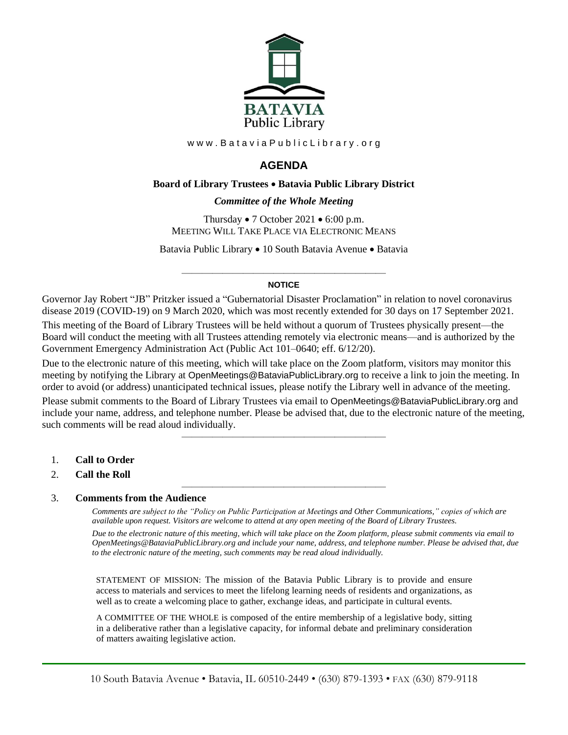

www.BataviaPublicLibrary.org

# **AGENDA**

### **Board of Library Trustees** • **Batavia Public Library District**

### *0BCommittee of the Whole Meeting*

Thursday • 7 October 2021 • 6:00 p.m. MEETING WILL TAKE PLACE VIA ELECTRONIC MEANS

Batavia Public Library • 10 South Batavia Avenue • Batavia

### ———————————————————— **NOTICE**

Governor Jay Robert "JB" Pritzker issued a "Gubernatorial Disaster Proclamation" in relation to novel coronavirus disease 2019 (COVID-19) on 9 March 2020, which was most recently extended for 30 days on 17 September 2021.

This meeting of the Board of Library Trustees will be held without a quorum of Trustees physically present—the Board will conduct the meeting with all Trustees attending remotely via electronic means—and is authorized by the Government Emergency Administration Act (Public Act 101–0640; eff. 6/12/20).

Due to the electronic nature of this meeting, which will take place on the Zoom platform, visitors may monitor this meeting by notifying the Library at OpenMeetings@BataviaPublicLibrary.org to receive a link to join the meeting. In order to avoid (or address) unanticipated technical issues, please notify the Library well in advance of the meeting.

Please submit comments to the Board of Library Trustees via email to OpenMeetings@BataviaPublicLibrary.org and include your name, address, and telephone number. Please be advised that, due to the electronic nature of the meeting, such comments will be read aloud individually.

————————————————————

————————————————————

- 1. **Call to Order**
- 2. **Call the Roll**

#### 3. **Comments from the Audience**

*Comments are subject to the "Policy on Public Participation at Meetings and Other Communications," copies of which are available upon request. Visitors are welcome to attend at any open meeting of the Board of Library Trustees. Due to the electronic nature of this meeting, which will take place on the Zoom platform, please submit comments via email to OpenMeetings@BataviaPublicLibrary.org and include your name, address, and telephone number. Please be advised that, due to the electronic nature of the meeting, such comments may be read aloud individually.*

STATEMENT OF MISSION: The mission of the Batavia Public Library is to provide and ensure access to materials and services to meet the lifelong learning needs of residents and organizations, as well as to create a welcoming place to gather, exchange ideas, and participate in cultural events.

A COMMITTEE OF THE WHOLE is composed of the entire membership of a legislative body, sitting in a deliberative rather than a legislative capacity, for informal debate and preliminary consideration of matters awaiting legislative action.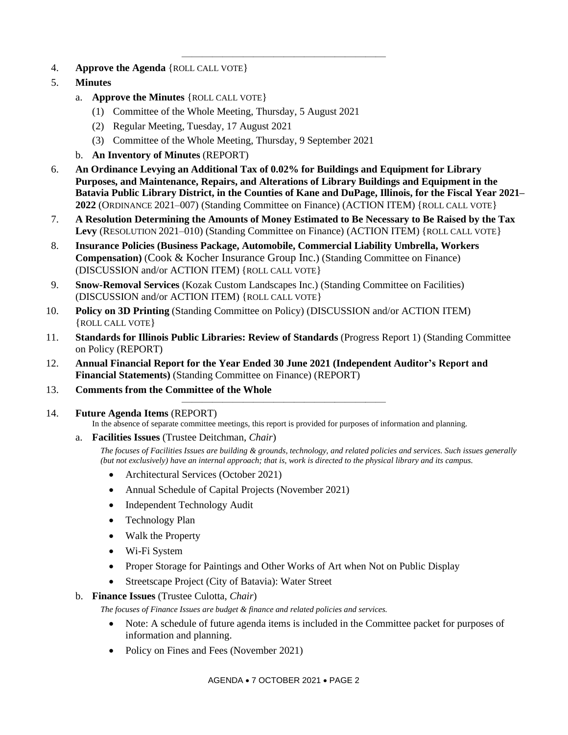- 4. **Approve the Agenda** {ROLL CALL VOTE}
- 5. **Minutes**
	- a. **Approve the Minutes** {ROLL CALL VOTE}
		- (1) Committee of the Whole Meeting, Thursday, 5 August 2021
		- (2) Regular Meeting, Tuesday, 17 August 2021
		- (3) Committee of the Whole Meeting, Thursday, 9 September 2021
	- b. **An Inventory of Minutes** (REPORT)
- 6. **An Ordinance Levying an Additional Tax of 0.02% for Buildings and Equipment for Library Purposes, and Maintenance, Repairs, and Alterations of Library Buildings and Equipment in the Batavia Public Library District, in the Counties of Kane and DuPage, Illinois, for the Fiscal Year 2021– 2022** (ORDINANCE 2021–007) (Standing Committee on Finance) (ACTION ITEM) {ROLL CALL VOTE}

————————————————————

- 7. **A Resolution Determining the Amounts of Money Estimated to Be Necessary to Be Raised by the Tax**  Levy (RESOLUTION 2021–010) (Standing Committee on Finance) (ACTION ITEM) {ROLL CALL VOTE}
- 8. **Insurance Policies (Business Package, Automobile, Commercial Liability Umbrella, Workers Compensation)** (Cook & Kocher Insurance Group Inc.) (Standing Committee on Finance) (DISCUSSION and/or ACTION ITEM) {ROLL CALL VOTE}
- 9. **Snow-Removal Services** (Kozak Custom Landscapes Inc.) (Standing Committee on Facilities) (DISCUSSION and/or ACTION ITEM) {ROLL CALL VOTE}
- 10. **Policy on 3D Printing** (Standing Committee on Policy) (DISCUSSION and/or ACTION ITEM) {ROLL CALL VOTE}
- 11. **Standards for Illinois Public Libraries: Review of Standards** (Progress Report 1) (Standing Committee on Policy (REPORT)

————————————————————

- 12. **Annual Financial Report for the Year Ended 30 June 2021 (Independent Auditor's Report and Financial Statements)** (Standing Committee on Finance) (REPORT)
- 13. **Comments from the Committee of the Whole**
- 14. **Future Agenda Items** (REPORT)

In the absence of separate committee meetings, this report is provided for purposes of information and planning.

a. **Facilities Issues** (Trustee Deitchman, *Chair*)

*The focuses of Facilities Issues are building & grounds, technology, and related policies and services. Such issues generally (but not exclusively) have an internal approach; that is, work is directed to the physical library and its campus.*

- Architectural Services (October 2021)
- Annual Schedule of Capital Projects (November 2021)
- Independent Technology Audit
- Technology Plan
- Walk the Property
- Wi-Fi System
- Proper Storage for Paintings and Other Works of Art when Not on Public Display
- Streetscape Project (City of Batavia): Water Street

### b. **Finance Issues** (Trustee Culotta, *Chair*)

*The focuses of Finance Issues are budget & finance and related policies and services.*

- Note: A schedule of future agenda items is included in the Committee packet for purposes of information and planning.
- Policy on Fines and Fees (November 2021)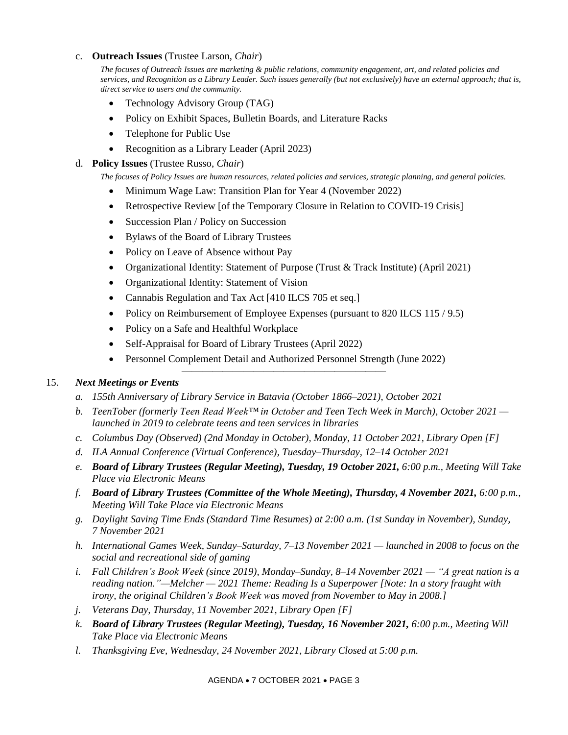### c. **Outreach Issues** (Trustee Larson, *Chair*)

*The focuses of Outreach Issues are marketing & public relations, community engagement, art, and related policies and services, and Recognition as a Library Leader. Such issues generally (but not exclusively) have an external approach; that is, direct service to users and the community.*

- Technology Advisory Group (TAG)
- Policy on Exhibit Spaces, Bulletin Boards, and Literature Racks
- Telephone for Public Use
- Recognition as a Library Leader (April 2023)

## d. **Policy Issues** (Trustee Russo, *Chair*)

*The focuses of Policy Issues are human resources, related policies and services, strategic planning, and general policies.*

- Minimum Wage Law: Transition Plan for Year 4 (November 2022)
- Retrospective Review [of the Temporary Closure in Relation to COVID-19 Crisis]
- Succession Plan / Policy on Succession
- Bylaws of the Board of Library Trustees
- Policy on Leave of Absence without Pay
- Organizational Identity: Statement of Purpose (Trust & Track Institute) (April 2021)
- Organizational Identity: Statement of Vision
- Cannabis Regulation and Tax Act [410 ILCS 705 et seq.]
- Policy on Reimbursement of Employee Expenses (pursuant to 820 ILCS 115 / 9.5)
- Policy on a Safe and Healthful Workplace
- Self-Appraisal for Board of Library Trustees (April 2022)
- Personnel Complement Detail and Authorized Personnel Strength (June 2022)

————————————————————

# 15. *Next Meetings or Events*

- *a. 155th Anniversary of Library Service in Batavia (October 1866–2021), October 2021*
- *b. TeenTober (formerly Teen Read Week™ in October and Teen Tech Week in March), October 2021 launched in 2019 to celebrate teens and teen services in libraries*
- *c. Columbus Day (Observed) (2nd Monday in October), Monday, 11 October 2021, Library Open [F]*
- *d. ILA Annual Conference (Virtual Conference), Tuesday–Thursday, 12–14 October 2021*
- *e. Board of Library Trustees (Regular Meeting), Tuesday, 19 October 2021, 6:00 p.m., Meeting Will Take Place via Electronic Means*
- *f. Board of Library Trustees (Committee of the Whole Meeting), Thursday, 4 November 2021, 6:00 p.m., Meeting Will Take Place via Electronic Means*
- *g. Daylight Saving Time Ends (Standard Time Resumes) at 2:00 a.m. (1st Sunday in November), Sunday, 7 November 2021*
- *h. International Games Week, Sunday–Saturday, 7–13 November 2021 — launched in 2008 to focus on the social and recreational side of gaming*
- *i. Fall Children's Book Week (since 2019), Monday–Sunday, 8–14 November 2021 — "A great nation is a reading nation."—Melcher — 2021 Theme: Reading Is a Superpower [Note: In a story fraught with irony, the original Children's Book Week was moved from November to May in 2008.]*
- *j. Veterans Day, Thursday, 11 November 2021, Library Open [F]*
- *k. Board of Library Trustees (Regular Meeting), Tuesday, 16 November 2021, 6:00 p.m., Meeting Will Take Place via Electronic Means*
- *l. Thanksgiving Eve, Wednesday, 24 November 2021, Library Closed at 5:00 p.m.*